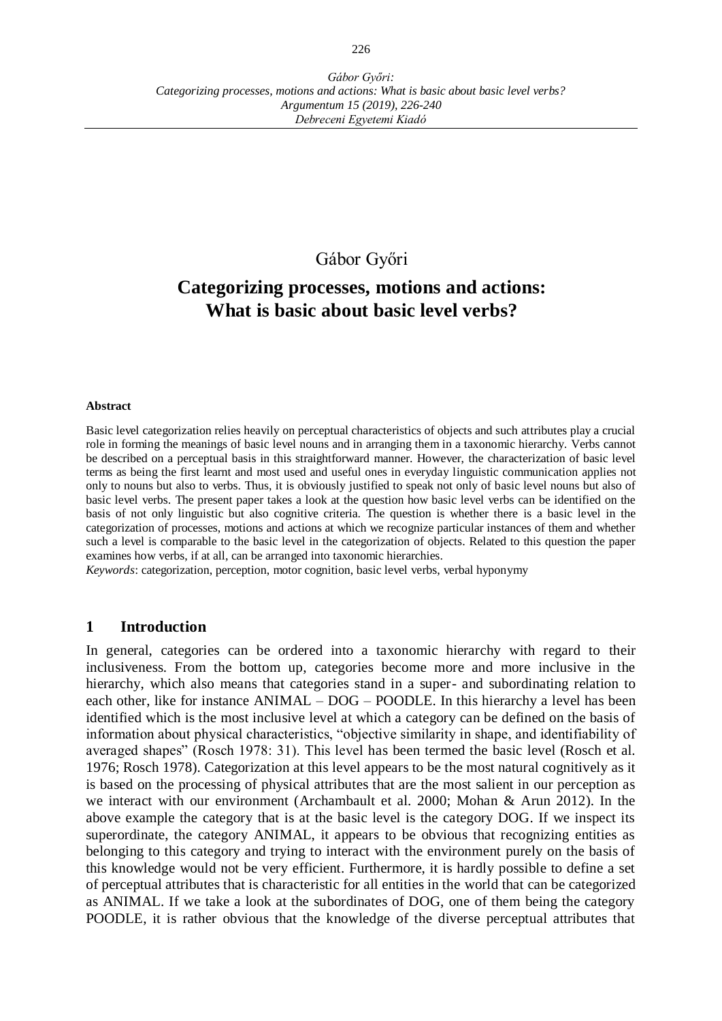# Gábor Győri

# **Categorizing processes, motions and actions: What is basic about basic level verbs?**

#### **Abstract**

Basic level categorization relies heavily on perceptual characteristics of objects and such attributes play a crucial role in forming the meanings of basic level nouns and in arranging them in a taxonomic hierarchy. Verbs cannot be described on a perceptual basis in this straightforward manner. However, the characterization of basic level terms as being the first learnt and most used and useful ones in everyday linguistic communication applies not only to nouns but also to verbs. Thus, it is obviously justified to speak not only of basic level nouns but also of basic level verbs. The present paper takes a look at the question how basic level verbs can be identified on the basis of not only linguistic but also cognitive criteria. The question is whether there is a basic level in the categorization of processes, motions and actions at which we recognize particular instances of them and whether such a level is comparable to the basic level in the categorization of objects. Related to this question the paper examines how verbs, if at all, can be arranged into taxonomic hierarchies.

*Keywords*: categorization, perception, motor cognition, basic level verbs, verbal hyponymy

## **1 Introduction**

In general, categories can be ordered into a taxonomic hierarchy with regard to their inclusiveness. From the bottom up, categories become more and more inclusive in the hierarchy, which also means that categories stand in a super- and subordinating relation to each other, like for instance ANIMAL – DOG – POODLE. In this hierarchy a level has been identified which is the most inclusive level at which a category can be defined on the basis of information about physical characteristics, "objective similarity in shape, and identifiability of averaged shapes" (Rosch 1978: 31). This level has been termed the basic level (Rosch et al. 1976; Rosch 1978). Categorization at this level appears to be the most natural cognitively as it is based on the processing of physical attributes that are the most salient in our perception as we interact with our environment (Archambault et al. 2000; Mohan & Arun 2012). In the above example the category that is at the basic level is the category DOG. If we inspect its superordinate, the category ANIMAL, it appears to be obvious that recognizing entities as belonging to this category and trying to interact with the environment purely on the basis of this knowledge would not be very efficient. Furthermore, it is hardly possible to define a set of perceptual attributes that is characteristic for all entities in the world that can be categorized as ANIMAL. If we take a look at the subordinates of DOG, one of them being the category POODLE, it is rather obvious that the knowledge of the diverse perceptual attributes that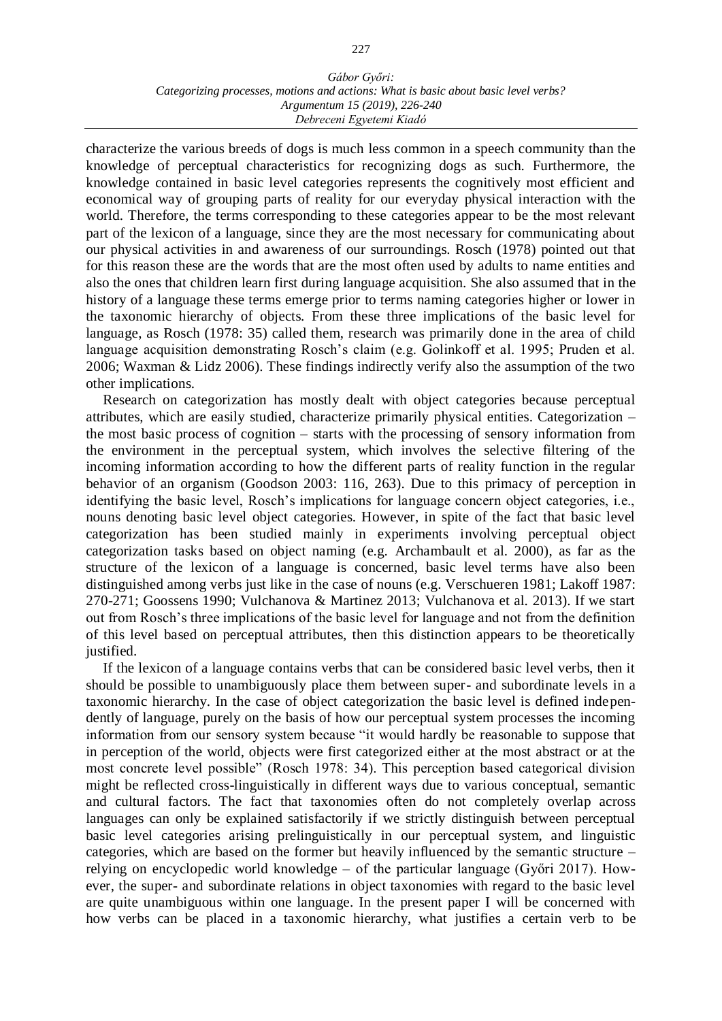characterize the various breeds of dogs is much less common in a speech community than the knowledge of perceptual characteristics for recognizing dogs as such. Furthermore, the knowledge contained in basic level categories represents the cognitively most efficient and economical way of grouping parts of reality for our everyday physical interaction with the world. Therefore, the terms corresponding to these categories appear to be the most relevant part of the lexicon of a language, since they are the most necessary for communicating about our physical activities in and awareness of our surroundings. Rosch (1978) pointed out that for this reason these are the words that are the most often used by adults to name entities and also the ones that children learn first during language acquisition. She also assumed that in the history of a language these terms emerge prior to terms naming categories higher or lower in the taxonomic hierarchy of objects. From these three implications of the basic level for language, as Rosch (1978: 35) called them, research was primarily done in the area of child language acquisition demonstrating Rosch's claim (e.g. Golinkoff et al. 1995; Pruden et al. 2006; Waxman & Lidz 2006). These findings indirectly verify also the assumption of the two other implications.

Research on categorization has mostly dealt with object categories because perceptual attributes, which are easily studied, characterize primarily physical entities. Categorization – the most basic process of cognition – starts with the processing of sensory information from the environment in the perceptual system, which involves the selective filtering of the incoming information according to how the different parts of reality function in the regular behavior of an organism (Goodson 2003: 116, 263). Due to this primacy of perception in identifying the basic level, Rosch's implications for language concern object categories, i.e., nouns denoting basic level object categories. However, in spite of the fact that basic level categorization has been studied mainly in experiments involving perceptual object categorization tasks based on object naming (e.g. Archambault et al. 2000), as far as the structure of the lexicon of a language is concerned, basic level terms have also been distinguished among verbs just like in the case of nouns (e.g. Verschueren 1981; Lakoff 1987: 270-271; Goossens 1990; Vulchanova & Martinez 2013; Vulchanova et al. 2013). If we start out from Rosch's three implications of the basic level for language and not from the definition of this level based on perceptual attributes, then this distinction appears to be theoretically justified.

If the lexicon of a language contains verbs that can be considered basic level verbs, then it should be possible to unambiguously place them between super- and subordinate levels in a taxonomic hierarchy. In the case of object categorization the basic level is defined independently of language, purely on the basis of how our perceptual system processes the incoming information from our sensory system because "it would hardly be reasonable to suppose that in perception of the world, objects were first categorized either at the most abstract or at the most concrete level possible" (Rosch 1978: 34). This perception based categorical division might be reflected cross-linguistically in different ways due to various conceptual, semantic and cultural factors. The fact that taxonomies often do not completely overlap across languages can only be explained satisfactorily if we strictly distinguish between perceptual basic level categories arising prelinguistically in our perceptual system, and linguistic categories, which are based on the former but heavily influenced by the semantic structure – relying on encyclopedic world knowledge – of the particular language (Győri 2017). However, the super- and subordinate relations in object taxonomies with regard to the basic level are quite unambiguous within one language. In the present paper I will be concerned with how verbs can be placed in a taxonomic hierarchy, what justifies a certain verb to be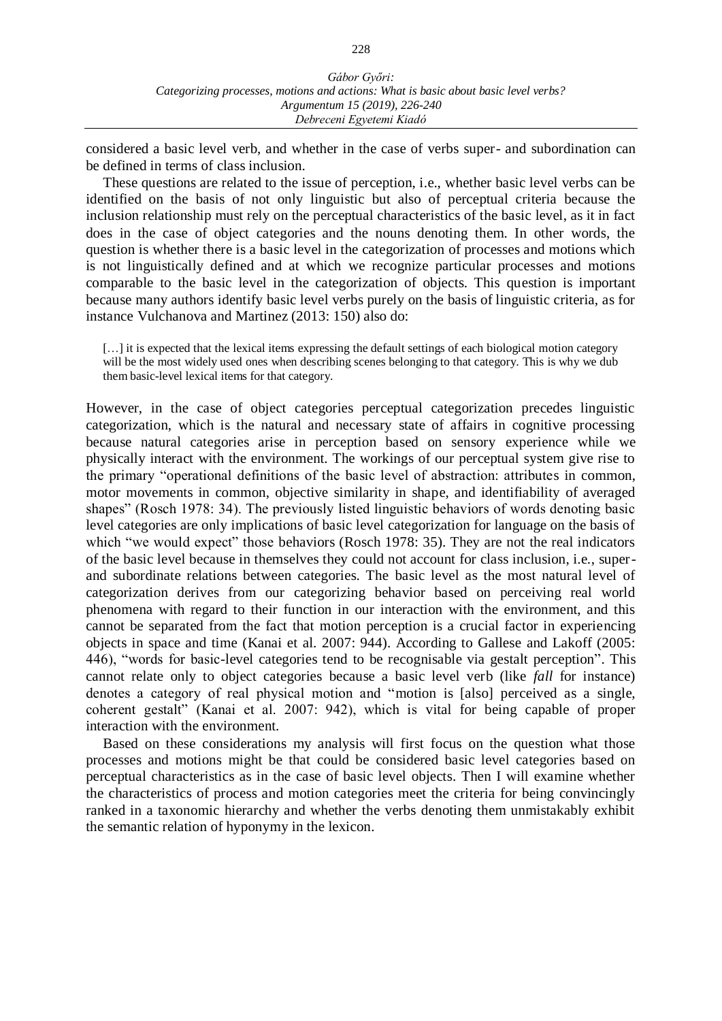considered a basic level verb, and whether in the case of verbs super- and subordination can be defined in terms of class inclusion.

These questions are related to the issue of perception, i.e., whether basic level verbs can be identified on the basis of not only linguistic but also of perceptual criteria because the inclusion relationship must rely on the perceptual characteristics of the basic level, as it in fact does in the case of object categories and the nouns denoting them. In other words, the question is whether there is a basic level in the categorization of processes and motions which is not linguistically defined and at which we recognize particular processes and motions comparable to the basic level in the categorization of objects. This question is important because many authors identify basic level verbs purely on the basis of linguistic criteria, as for instance Vulchanova and Martinez (2013: 150) also do:

[...] it is expected that the lexical items expressing the default settings of each biological motion category will be the most widely used ones when describing scenes belonging to that category. This is why we dub them basic-level lexical items for that category.

However, in the case of object categories perceptual categorization precedes linguistic categorization, which is the natural and necessary state of affairs in cognitive processing because natural categories arise in perception based on sensory experience while we physically interact with the environment. The workings of our perceptual system give rise to the primary "operational definitions of the basic level of abstraction: attributes in common, motor movements in common, objective similarity in shape, and identifiability of averaged shapes" (Rosch 1978: 34). The previously listed linguistic behaviors of words denoting basic level categories are only implications of basic level categorization for language on the basis of which "we would expect" those behaviors (Rosch 1978: 35). They are not the real indicators of the basic level because in themselves they could not account for class inclusion, i.e., superand subordinate relations between categories. The basic level as the most natural level of categorization derives from our categorizing behavior based on perceiving real world phenomena with regard to their function in our interaction with the environment, and this cannot be separated from the fact that motion perception is a crucial factor in experiencing objects in space and time (Kanai et al. 2007: 944). According to Gallese and Lakoff (2005: 446), "words for basic-level categories tend to be recognisable via gestalt perception". This cannot relate only to object categories because a basic level verb (like *fall* for instance) denotes a category of real physical motion and "motion is [also] perceived as a single, coherent gestalt" (Kanai et al. 2007: 942), which is vital for being capable of proper interaction with the environment.

Based on these considerations my analysis will first focus on the question what those processes and motions might be that could be considered basic level categories based on perceptual characteristics as in the case of basic level objects. Then I will examine whether the characteristics of process and motion categories meet the criteria for being convincingly ranked in a taxonomic hierarchy and whether the verbs denoting them unmistakably exhibit the semantic relation of hyponymy in the lexicon.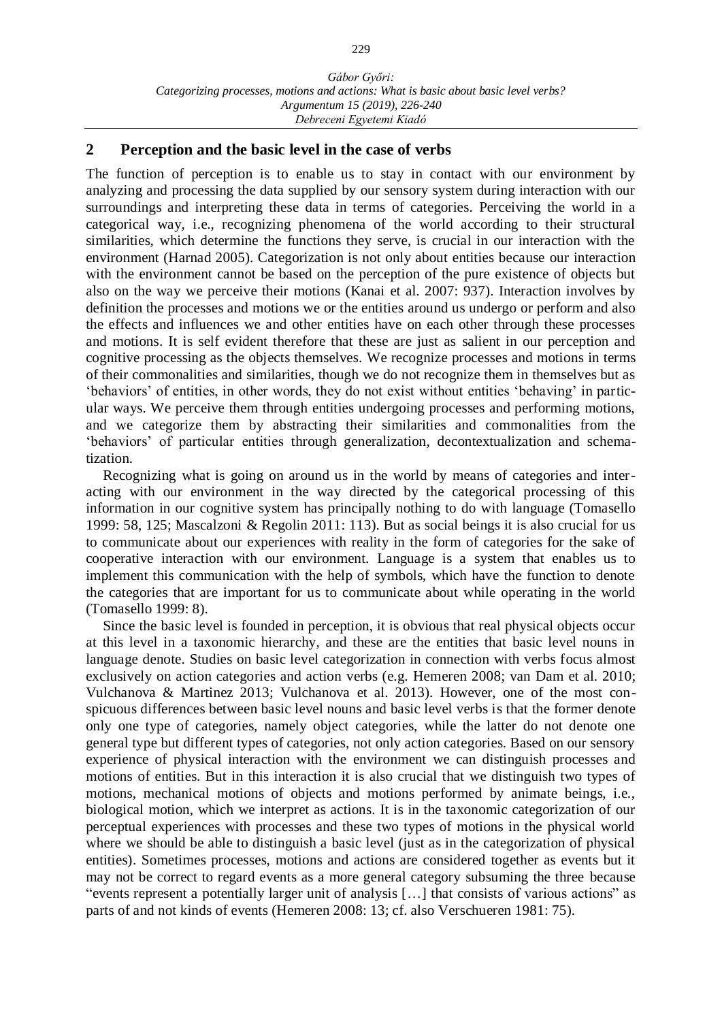## **2 Perception and the basic level in the case of verbs**

The function of perception is to enable us to stay in contact with our environment by analyzing and processing the data supplied by our sensory system during interaction with our surroundings and interpreting these data in terms of categories. Perceiving the world in a categorical way, i.e., recognizing phenomena of the world according to their structural similarities, which determine the functions they serve, is crucial in our interaction with the environment (Harnad 2005). Categorization is not only about entities because our interaction with the environment cannot be based on the perception of the pure existence of objects but also on the way we perceive their motions (Kanai et al. 2007: 937). Interaction involves by definition the processes and motions we or the entities around us undergo or perform and also the effects and influences we and other entities have on each other through these processes and motions. It is self evident therefore that these are just as salient in our perception and cognitive processing as the objects themselves. We recognize processes and motions in terms of their commonalities and similarities, though we do not recognize them in themselves but as 'behaviors' of entities, in other words, they do not exist without entities 'behaving' in particular ways. We perceive them through entities undergoing processes and performing motions, and we categorize them by abstracting their similarities and commonalities from the 'behaviors' of particular entities through generalization, decontextualization and schematization.

Recognizing what is going on around us in the world by means of categories and interacting with our environment in the way directed by the categorical processing of this information in our cognitive system has principally nothing to do with language (Tomasello 1999: 58, 125; Mascalzoni & Regolin 2011: 113). But as social beings it is also crucial for us to communicate about our experiences with reality in the form of categories for the sake of cooperative interaction with our environment. Language is a system that enables us to implement this communication with the help of symbols, which have the function to denote the categories that are important for us to communicate about while operating in the world (Tomasello 1999: 8).

Since the basic level is founded in perception, it is obvious that real physical objects occur at this level in a taxonomic hierarchy, and these are the entities that basic level nouns in language denote. Studies on basic level categorization in connection with verbs focus almost exclusively on action categories and action verbs (e.g. Hemeren 2008; van Dam et al. 2010; Vulchanova & Martinez 2013; Vulchanova et al. 2013). However, one of the most conspicuous differences between basic level nouns and basic level verbs is that the former denote only one type of categories, namely object categories, while the latter do not denote one general type but different types of categories, not only action categories. Based on our sensory experience of physical interaction with the environment we can distinguish processes and motions of entities. But in this interaction it is also crucial that we distinguish two types of motions, mechanical motions of objects and motions performed by animate beings, i.e., biological motion, which we interpret as actions. It is in the taxonomic categorization of our perceptual experiences with processes and these two types of motions in the physical world where we should be able to distinguish a basic level (just as in the categorization of physical entities). Sometimes processes, motions and actions are considered together as events but it may not be correct to regard events as a more general category subsuming the three because "events represent a potentially larger unit of analysis […] that consists of various actions" as parts of and not kinds of events (Hemeren 2008: 13; cf. also Verschueren 1981: 75).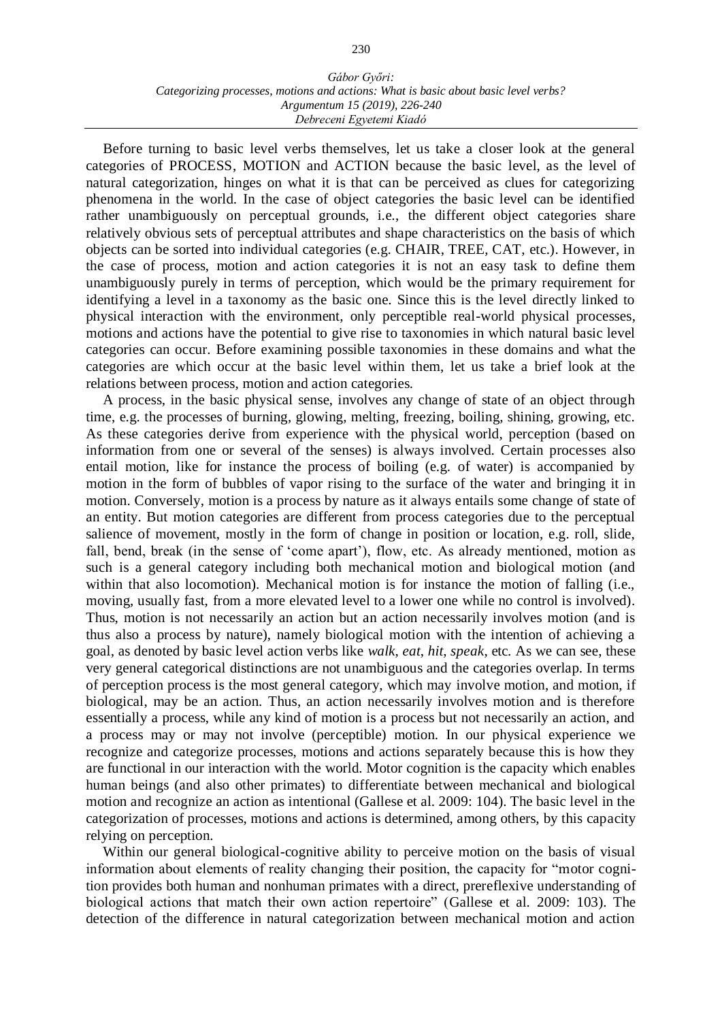Before turning to basic level verbs themselves, let us take a closer look at the general categories of PROCESS, MOTION and ACTION because the basic level, as the level of natural categorization, hinges on what it is that can be perceived as clues for categorizing phenomena in the world. In the case of object categories the basic level can be identified rather unambiguously on perceptual grounds, i.e., the different object categories share relatively obvious sets of perceptual attributes and shape characteristics on the basis of which objects can be sorted into individual categories (e.g. CHAIR, TREE, CAT, etc.). However, in the case of process, motion and action categories it is not an easy task to define them unambiguously purely in terms of perception, which would be the primary requirement for identifying a level in a taxonomy as the basic one. Since this is the level directly linked to physical interaction with the environment, only perceptible real-world physical processes, motions and actions have the potential to give rise to taxonomies in which natural basic level categories can occur. Before examining possible taxonomies in these domains and what the categories are which occur at the basic level within them, let us take a brief look at the relations between process, motion and action categories.

A process, in the basic physical sense, involves any change of state of an object through time, e.g. the processes of burning, glowing, melting, freezing, boiling, shining, growing, etc. As these categories derive from experience with the physical world, perception (based on information from one or several of the senses) is always involved. Certain processes also entail motion, like for instance the process of boiling (e.g. of water) is accompanied by motion in the form of bubbles of vapor rising to the surface of the water and bringing it in motion. Conversely, motion is a process by nature as it always entails some change of state of an entity. But motion categories are different from process categories due to the perceptual salience of movement, mostly in the form of change in position or location, e.g. roll, slide, fall, bend, break (in the sense of 'come apart'), flow, etc. As already mentioned, motion as such is a general category including both mechanical motion and biological motion (and within that also locomotion). Mechanical motion is for instance the motion of falling (i.e., moving, usually fast, from a more elevated level to a lower one while no control is involved). Thus, motion is not necessarily an action but an action necessarily involves motion (and is thus also a process by nature), namely biological motion with the intention of achieving a goal, as denoted by basic level action verbs like *walk*, *eat*, *hit*, *speak*, etc. As we can see, these very general categorical distinctions are not unambiguous and the categories overlap. In terms of perception process is the most general category, which may involve motion, and motion, if biological, may be an action. Thus, an action necessarily involves motion and is therefore essentially a process, while any kind of motion is a process but not necessarily an action, and a process may or may not involve (perceptible) motion. In our physical experience we recognize and categorize processes, motions and actions separately because this is how they are functional in our interaction with the world. Motor cognition is the capacity which enables human beings (and also other primates) to differentiate between mechanical and biological motion and recognize an action as intentional (Gallese et al. 2009: 104). The basic level in the categorization of processes, motions and actions is determined, among others, by this capacity relying on perception.

Within our general biological-cognitive ability to perceive motion on the basis of visual information about elements of reality changing their position, the capacity for "motor cognition provides both human and nonhuman primates with a direct, prereflexive understanding of biological actions that match their own action repertoire" (Gallese et al. 2009: 103). The detection of the difference in natural categorization between mechanical motion and action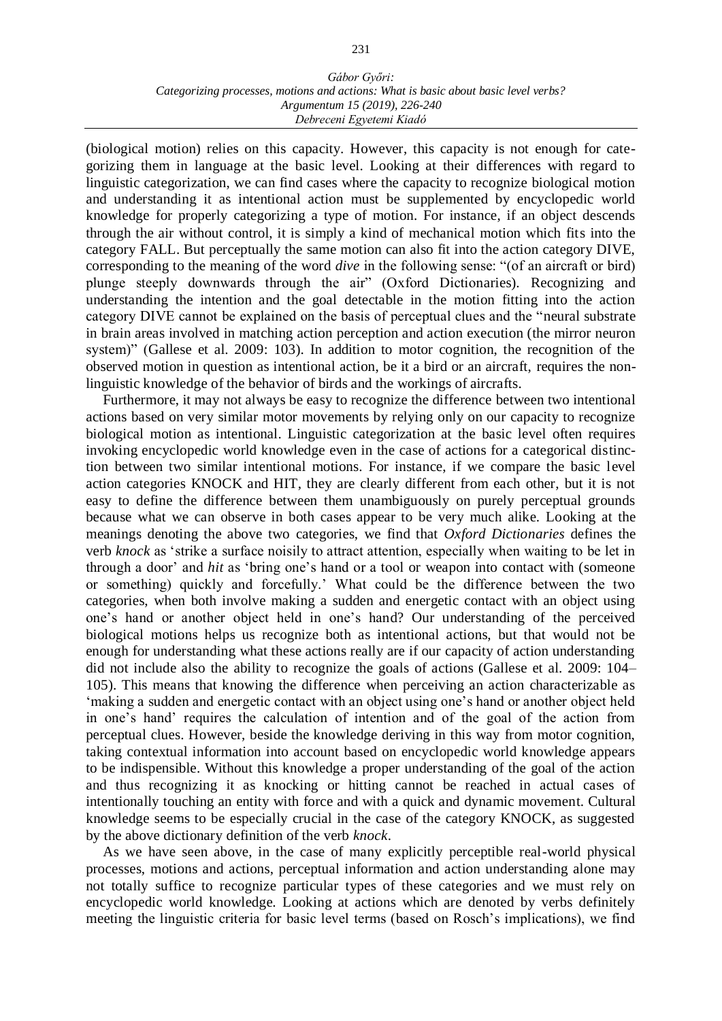(biological motion) relies on this capacity. However, this capacity is not enough for categorizing them in language at the basic level. Looking at their differences with regard to linguistic categorization, we can find cases where the capacity to recognize biological motion and understanding it as intentional action must be supplemented by encyclopedic world knowledge for properly categorizing a type of motion. For instance, if an object descends through the air without control, it is simply a kind of mechanical motion which fits into the category FALL. But perceptually the same motion can also fit into the action category DIVE, corresponding to the meaning of the word *dive* in the following sense: "(of an aircraft or bird) plunge steeply downwards through the air" (Oxford Dictionaries). Recognizing and understanding the intention and the goal detectable in the motion fitting into the action category DIVE cannot be explained on the basis of perceptual clues and the "neural substrate in brain areas involved in matching action perception and action execution (the mirror neuron system)" (Gallese et al. 2009: 103). In addition to motor cognition, the recognition of the observed motion in question as intentional action, be it a bird or an aircraft, requires the nonlinguistic knowledge of the behavior of birds and the workings of aircrafts.

Furthermore, it may not always be easy to recognize the difference between two intentional actions based on very similar motor movements by relying only on our capacity to recognize biological motion as intentional. Linguistic categorization at the basic level often requires invoking encyclopedic world knowledge even in the case of actions for a categorical distinction between two similar intentional motions. For instance, if we compare the basic level action categories KNOCK and HIT, they are clearly different from each other, but it is not easy to define the difference between them unambiguously on purely perceptual grounds because what we can observe in both cases appear to be very much alike. Looking at the meanings denoting the above two categories, we find that *Oxford Dictionaries* defines the verb *knock* as 'strike a surface noisily to attract attention, especially when waiting to be let in through a door' and *hit* as 'bring one's hand or a tool or weapon into contact with (someone or something) quickly and forcefully.' What could be the difference between the two categories, when both involve making a sudden and energetic contact with an object using one's hand or another object held in one's hand? Our understanding of the perceived biological motions helps us recognize both as intentional actions, but that would not be enough for understanding what these actions really are if our capacity of action understanding did not include also the ability to recognize the goals of actions (Gallese et al. 2009: 104– 105). This means that knowing the difference when perceiving an action characterizable as 'making a sudden and energetic contact with an object using one's hand or another object held in one's hand' requires the calculation of intention and of the goal of the action from perceptual clues. However, beside the knowledge deriving in this way from motor cognition, taking contextual information into account based on encyclopedic world knowledge appears to be indispensible. Without this knowledge a proper understanding of the goal of the action and thus recognizing it as knocking or hitting cannot be reached in actual cases of intentionally touching an entity with force and with a quick and dynamic movement. Cultural knowledge seems to be especially crucial in the case of the category KNOCK, as suggested by the above dictionary definition of the verb *knock*.

As we have seen above, in the case of many explicitly perceptible real-world physical processes, motions and actions, perceptual information and action understanding alone may not totally suffice to recognize particular types of these categories and we must rely on encyclopedic world knowledge. Looking at actions which are denoted by verbs definitely meeting the linguistic criteria for basic level terms (based on Rosch's implications), we find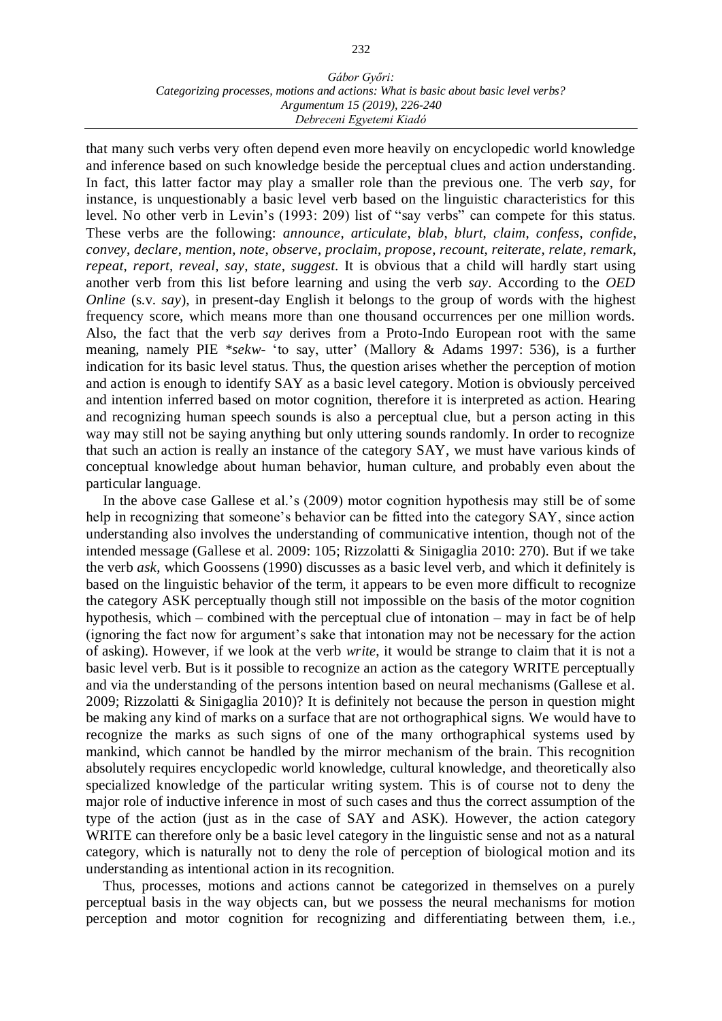that many such verbs very often depend even more heavily on encyclopedic world knowledge and inference based on such knowledge beside the perceptual clues and action understanding. In fact, this latter factor may play a smaller role than the previous one. The verb *say*, for instance, is unquestionably a basic level verb based on the linguistic characteristics for this level. No other verb in Levin's (1993: 209) list of "say verbs" can compete for this status. These verbs are the following: *announce*, *articulate*, *blab*, *blurt*, *claim*, *confess*, *confide*, *convey*, *declare*, *mention*, *note*, *observe*, *proclaim*, *propose*, *recount*, *reiterate*, *relate*, *remark*, *repeat*, *report*, *reveal*, *say*, *state*, *suggest*. It is obvious that a child will hardly start using another verb from this list before learning and using the verb *say*. According to the *OED Online* (s.v. *say*), in present-day English it belongs to the group of words with the highest frequency score, which means more than one thousand occurrences per one million words. Also, the fact that the verb *say* derives from a Proto-Indo European root with the same meaning, namely PIE \**sekw*- 'to say, utter' (Mallory & Adams 1997: 536), is a further indication for its basic level status. Thus, the question arises whether the perception of motion and action is enough to identify SAY as a basic level category. Motion is obviously perceived and intention inferred based on motor cognition, therefore it is interpreted as action. Hearing and recognizing human speech sounds is also a perceptual clue, but a person acting in this way may still not be saying anything but only uttering sounds randomly. In order to recognize that such an action is really an instance of the category SAY, we must have various kinds of conceptual knowledge about human behavior, human culture, and probably even about the particular language.

In the above case Gallese et al.'s (2009) motor cognition hypothesis may still be of some help in recognizing that someone's behavior can be fitted into the category SAY, since action understanding also involves the understanding of communicative intention, though not of the intended message (Gallese et al. 2009: 105; Rizzolatti & Sinigaglia 2010: 270). But if we take the verb *ask*, which Goossens (1990) discusses as a basic level verb, and which it definitely is based on the linguistic behavior of the term, it appears to be even more difficult to recognize the category ASK perceptually though still not impossible on the basis of the motor cognition hypothesis, which – combined with the perceptual clue of intonation – may in fact be of help (ignoring the fact now for argument's sake that intonation may not be necessary for the action of asking). However, if we look at the verb *write*, it would be strange to claim that it is not a basic level verb. But is it possible to recognize an action as the category WRITE perceptually and via the understanding of the persons intention based on neural mechanisms (Gallese et al. 2009; Rizzolatti & Sinigaglia 2010)? It is definitely not because the person in question might be making any kind of marks on a surface that are not orthographical signs. We would have to recognize the marks as such signs of one of the many orthographical systems used by mankind, which cannot be handled by the mirror mechanism of the brain. This recognition absolutely requires encyclopedic world knowledge, cultural knowledge, and theoretically also specialized knowledge of the particular writing system. This is of course not to deny the major role of inductive inference in most of such cases and thus the correct assumption of the type of the action (just as in the case of SAY and ASK). However, the action category WRITE can therefore only be a basic level category in the linguistic sense and not as a natural category, which is naturally not to deny the role of perception of biological motion and its understanding as intentional action in its recognition.

Thus, processes, motions and actions cannot be categorized in themselves on a purely perceptual basis in the way objects can, but we possess the neural mechanisms for motion perception and motor cognition for recognizing and differentiating between them, i.e.,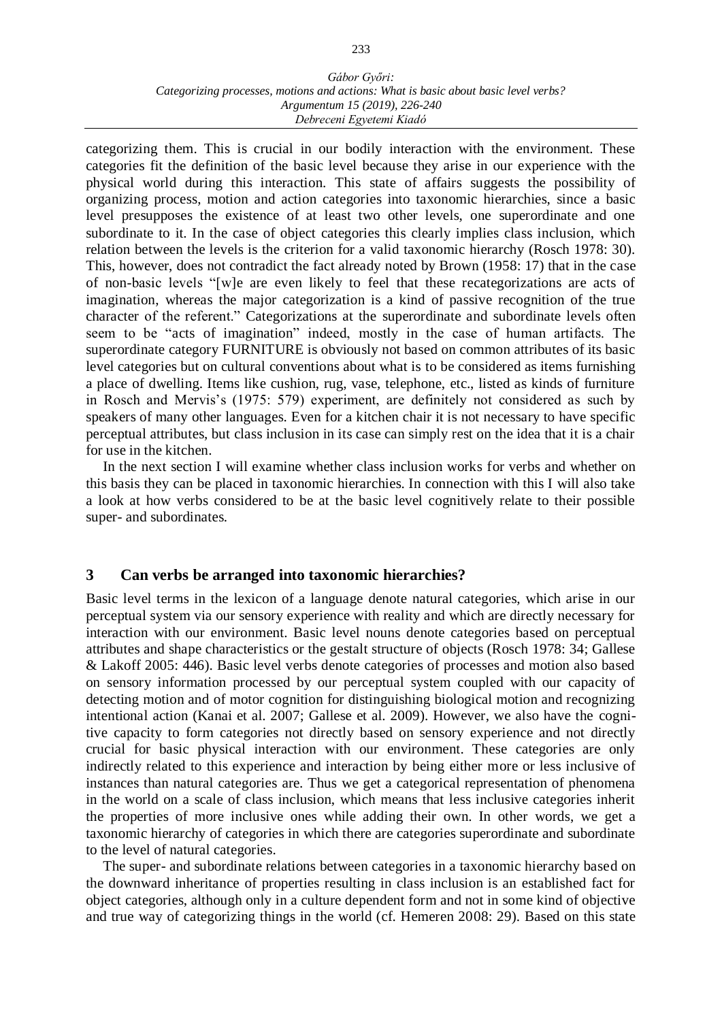categorizing them. This is crucial in our bodily interaction with the environment. These categories fit the definition of the basic level because they arise in our experience with the physical world during this interaction. This state of affairs suggests the possibility of organizing process, motion and action categories into taxonomic hierarchies, since a basic level presupposes the existence of at least two other levels, one superordinate and one subordinate to it. In the case of object categories this clearly implies class inclusion, which relation between the levels is the criterion for a valid taxonomic hierarchy (Rosch 1978: 30). This, however, does not contradict the fact already noted by Brown (1958: 17) that in the case of non-basic levels "[w]e are even likely to feel that these recategorizations are acts of imagination, whereas the major categorization is a kind of passive recognition of the true character of the referent." Categorizations at the superordinate and subordinate levels often seem to be "acts of imagination" indeed, mostly in the case of human artifacts. The superordinate category FURNITURE is obviously not based on common attributes of its basic level categories but on cultural conventions about what is to be considered as items furnishing a place of dwelling. Items like cushion, rug, vase, telephone, etc., listed as kinds of furniture in Rosch and Mervis's (1975: 579) experiment, are definitely not considered as such by speakers of many other languages. Even for a kitchen chair it is not necessary to have specific perceptual attributes, but class inclusion in its case can simply rest on the idea that it is a chair for use in the kitchen.

In the next section I will examine whether class inclusion works for verbs and whether on this basis they can be placed in taxonomic hierarchies. In connection with this I will also take a look at how verbs considered to be at the basic level cognitively relate to their possible super- and subordinates.

## **3 Can verbs be arranged into taxonomic hierarchies?**

Basic level terms in the lexicon of a language denote natural categories, which arise in our perceptual system via our sensory experience with reality and which are directly necessary for interaction with our environment. Basic level nouns denote categories based on perceptual attributes and shape characteristics or the gestalt structure of objects (Rosch 1978: 34; Gallese & Lakoff 2005: 446). Basic level verbs denote categories of processes and motion also based on sensory information processed by our perceptual system coupled with our capacity of detecting motion and of motor cognition for distinguishing biological motion and recognizing intentional action (Kanai et al. 2007; Gallese et al. 2009). However, we also have the cognitive capacity to form categories not directly based on sensory experience and not directly crucial for basic physical interaction with our environment. These categories are only indirectly related to this experience and interaction by being either more or less inclusive of instances than natural categories are. Thus we get a categorical representation of phenomena in the world on a scale of class inclusion, which means that less inclusive categories inherit the properties of more inclusive ones while adding their own. In other words, we get a taxonomic hierarchy of categories in which there are categories superordinate and subordinate to the level of natural categories.

The super- and subordinate relations between categories in a taxonomic hierarchy based on the downward inheritance of properties resulting in class inclusion is an established fact for object categories, although only in a culture dependent form and not in some kind of objective and true way of categorizing things in the world (cf. Hemeren 2008: 29). Based on this state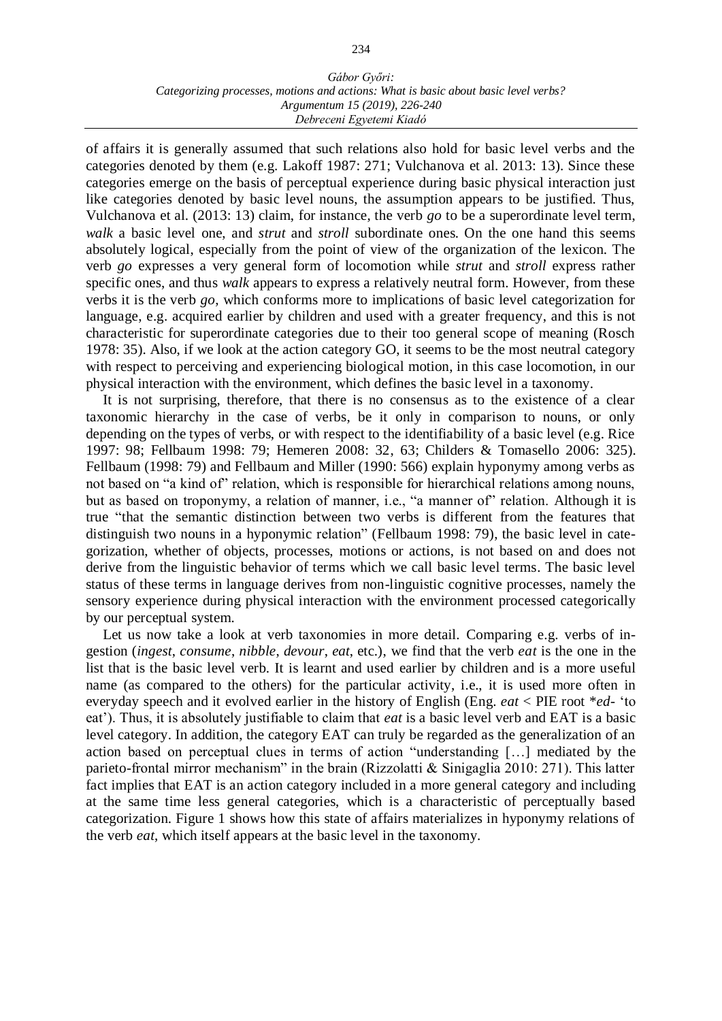of affairs it is generally assumed that such relations also hold for basic level verbs and the categories denoted by them (e.g. Lakoff 1987: 271; Vulchanova et al. 2013: 13). Since these categories emerge on the basis of perceptual experience during basic physical interaction just like categories denoted by basic level nouns, the assumption appears to be justified. Thus, Vulchanova et al. (2013: 13) claim, for instance, the verb *go* to be a superordinate level term, *walk* a basic level one, and *strut* and *stroll* subordinate ones. On the one hand this seems absolutely logical, especially from the point of view of the organization of the lexicon. The verb *go* expresses a very general form of locomotion while *strut* and *stroll* express rather specific ones, and thus *walk* appears to express a relatively neutral form. However, from these verbs it is the verb *go*, which conforms more to implications of basic level categorization for language, e.g. acquired earlier by children and used with a greater frequency, and this is not characteristic for superordinate categories due to their too general scope of meaning (Rosch 1978: 35). Also, if we look at the action category GO, it seems to be the most neutral category with respect to perceiving and experiencing biological motion, in this case locomotion, in our physical interaction with the environment, which defines the basic level in a taxonomy.

It is not surprising, therefore, that there is no consensus as to the existence of a clear taxonomic hierarchy in the case of verbs, be it only in comparison to nouns, or only depending on the types of verbs, or with respect to the identifiability of a basic level (e.g. Rice 1997: 98; Fellbaum 1998: 79; Hemeren 2008: 32, 63; Childers & Tomasello 2006: 325). Fellbaum (1998: 79) and Fellbaum and Miller (1990: 566) explain hyponymy among verbs as not based on "a kind of" relation, which is responsible for hierarchical relations among nouns, but as based on troponymy, a relation of manner, i.e., "a manner of" relation. Although it is true "that the semantic distinction between two verbs is different from the features that distinguish two nouns in a hyponymic relation" (Fellbaum 1998: 79), the basic level in categorization, whether of objects, processes, motions or actions, is not based on and does not derive from the linguistic behavior of terms which we call basic level terms. The basic level status of these terms in language derives from non-linguistic cognitive processes, namely the sensory experience during physical interaction with the environment processed categorically by our perceptual system.

Let us now take a look at verb taxonomies in more detail. Comparing e.g. verbs of ingestion (*ingest*, *consume*, *nibble*, *devour*, *eat*, etc.), we find that the verb *eat* is the one in the list that is the basic level verb. It is learnt and used earlier by children and is a more useful name (as compared to the others) for the particular activity, i.e., it is used more often in everyday speech and it evolved earlier in the history of English (Eng. *eat* < PIE root \**ed-* 'to eat'). Thus, it is absolutely justifiable to claim that *eat* is a basic level verb and EAT is a basic level category. In addition, the category EAT can truly be regarded as the generalization of an action based on perceptual clues in terms of action "understanding […] mediated by the parieto-frontal mirror mechanism" in the brain (Rizzolatti & Sinigaglia 2010: 271). This latter fact implies that EAT is an action category included in a more general category and including at the same time less general categories, which is a characteristic of perceptually based categorization. Figure 1 shows how this state of affairs materializes in hyponymy relations of the verb *eat*, which itself appears at the basic level in the taxonomy.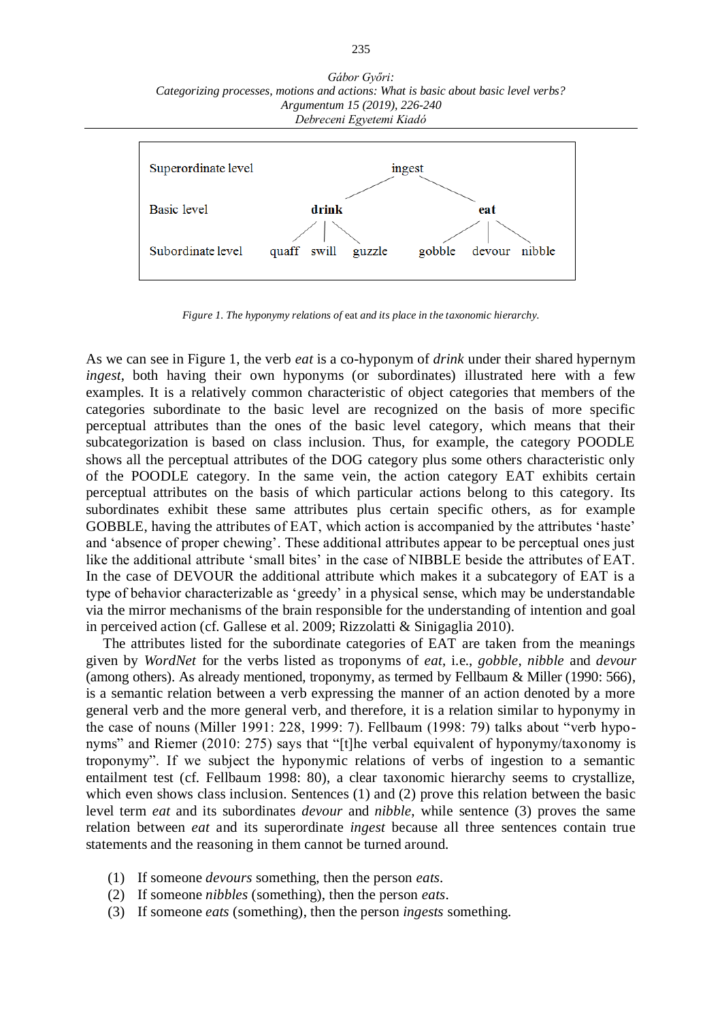

*Figure 1. The hyponymy relations of* eat *and its place in the taxonomic hierarchy.*

As we can see in Figure 1, the verb *eat* is a co-hyponym of *drink* under their shared hypernym *ingest*, both having their own hyponyms (or subordinates) illustrated here with a few examples. It is a relatively common characteristic of object categories that members of the categories subordinate to the basic level are recognized on the basis of more specific perceptual attributes than the ones of the basic level category, which means that their subcategorization is based on class inclusion. Thus, for example, the category POODLE shows all the perceptual attributes of the DOG category plus some others characteristic only of the POODLE category. In the same vein, the action category EAT exhibits certain perceptual attributes on the basis of which particular actions belong to this category. Its subordinates exhibit these same attributes plus certain specific others, as for example GOBBLE, having the attributes of EAT, which action is accompanied by the attributes 'haste' and 'absence of proper chewing'. These additional attributes appear to be perceptual ones just like the additional attribute 'small bites' in the case of NIBBLE beside the attributes of EAT. In the case of DEVOUR the additional attribute which makes it a subcategory of EAT is a type of behavior characterizable as 'greedy' in a physical sense, which may be understandable via the mirror mechanisms of the brain responsible for the understanding of intention and goal in perceived action (cf. Gallese et al. 2009; Rizzolatti & Sinigaglia 2010).

The attributes listed for the subordinate categories of EAT are taken from the meanings given by *WordNet* for the verbs listed as troponyms of *eat*, i.e., *gobble*, *nibble* and *devour* (among others). As already mentioned, troponymy, as termed by Fellbaum & Miller (1990: 566), is a semantic relation between a verb expressing the manner of an action denoted by a more general verb and the more general verb, and therefore, it is a relation similar to hyponymy in the case of nouns (Miller 1991: 228, 1999: 7). Fellbaum (1998: 79) talks about "verb hyponyms" and Riemer (2010: 275) says that "[t]he verbal equivalent of hyponymy/taxonomy is troponymy". If we subject the hyponymic relations of verbs of ingestion to a semantic entailment test (cf. Fellbaum 1998: 80), a clear taxonomic hierarchy seems to crystallize, which even shows class inclusion. Sentences (1) and (2) prove this relation between the basic level term *eat* and its subordinates *devour* and *nibble*, while sentence (3) proves the same relation between *eat* and its superordinate *ingest* because all three sentences contain true statements and the reasoning in them cannot be turned around.

- (1) If someone *devours* something, then the person *eats*.
- (2) If someone *nibbles* (something), then the person *eats*.
- (3) If someone *eats* (something), then the person *ingests* something.

#### 235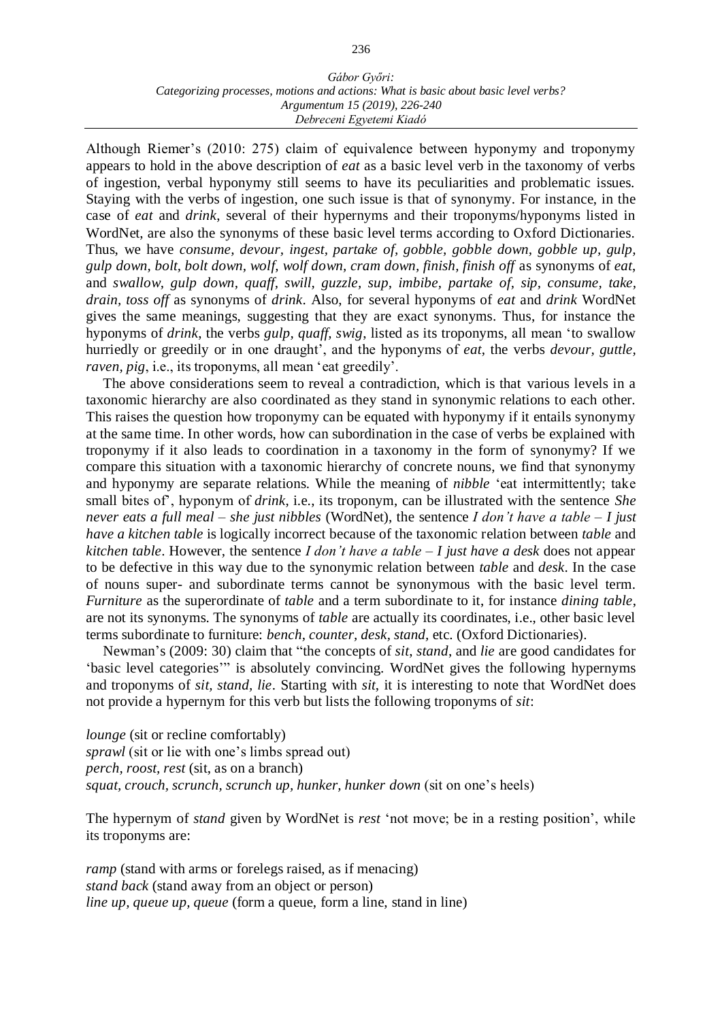Although Riemer's (2010: 275) claim of equivalence between hyponymy and troponymy appears to hold in the above description of *eat* as a basic level verb in the taxonomy of verbs of ingestion, verbal hyponymy still seems to have its peculiarities and problematic issues. Staying with the verbs of ingestion, one such issue is that of synonymy. For instance, in the case of *eat* and *drink*, several of their hypernyms and their troponyms/hyponyms listed in WordNet, are also the synonyms of these basic level terms according to Oxford Dictionaries. Thus, we have *consume, devour, ingest, partake of, gobble, gobble down, gobble up, gulp, gulp down, bolt, bolt down, wolf, wolf down, cram down, finish, finish off* as synonyms of *eat*, and *swallow, gulp down, quaff, swill, guzzle, sup, imbibe, partake of, sip, consume, take, drain, toss off* as synonyms of *drink*. Also, for several hyponyms of *eat* and *drink* WordNet gives the same meanings, suggesting that they are exact synonyms. Thus, for instance the hyponyms of *drink*, the verbs *gulp, quaff, swig*, listed as its troponyms, all mean 'to swallow hurriedly or greedily or in one draught', and the hyponyms of *eat*, the verbs *devour, guttle, raven, pig*, i.e., its troponyms, all mean 'eat greedily'.

The above considerations seem to reveal a contradiction, which is that various levels in a taxonomic hierarchy are also coordinated as they stand in synonymic relations to each other. This raises the question how troponymy can be equated with hyponymy if it entails synonymy at the same time. In other words, how can subordination in the case of verbs be explained with troponymy if it also leads to coordination in a taxonomy in the form of synonymy? If we compare this situation with a taxonomic hierarchy of concrete nouns, we find that synonymy and hyponymy are separate relations. While the meaning of *nibble* 'eat intermittently; take small bites of', hyponym of *drink*, i.e., its troponym, can be illustrated with the sentence *She never eats a full meal – she just nibbles* (WordNet), the sentence *I don't have a table – I just have a kitchen table* is logically incorrect because of the taxonomic relation between *table* and *kitchen table*. However, the sentence *I don't have a table – I just have a desk* does not appear to be defective in this way due to the synonymic relation between *table* and *desk*. In the case of nouns super- and subordinate terms cannot be synonymous with the basic level term. *Furniture* as the superordinate of *table* and a term subordinate to it, for instance *dining table*, are not its synonyms. The synonyms of *table* are actually its coordinates, i.e., other basic level terms subordinate to furniture: *bench, counter, desk, stand,* etc. (Oxford Dictionaries).

Newman's (2009: 30) claim that "the concepts of *sit*, *stand*, and *lie* are good candidates for 'basic level categories'" is absolutely convincing. WordNet gives the following hypernyms and troponyms of *sit, stand, lie*. Starting with *sit*, it is interesting to note that WordNet does not provide a hypernym for this verb but lists the following troponyms of *sit*:

*lounge* (sit or recline comfortably) *sprawl* (sit or lie with one's limbs spread out) *perch, roost, rest* (sit, as on a branch) *squat, crouch, scrunch, scrunch up, hunker, hunker down* (sit on one's heels)

The hypernym of *stand* given by WordNet is *rest* 'not move; be in a resting position', while its troponyms are:

*ramp* (stand with arms or forelegs raised, as if menacing) *stand back* (stand away from an object or person) *line up, queue up, queue* (form a queue, form a line, stand in line)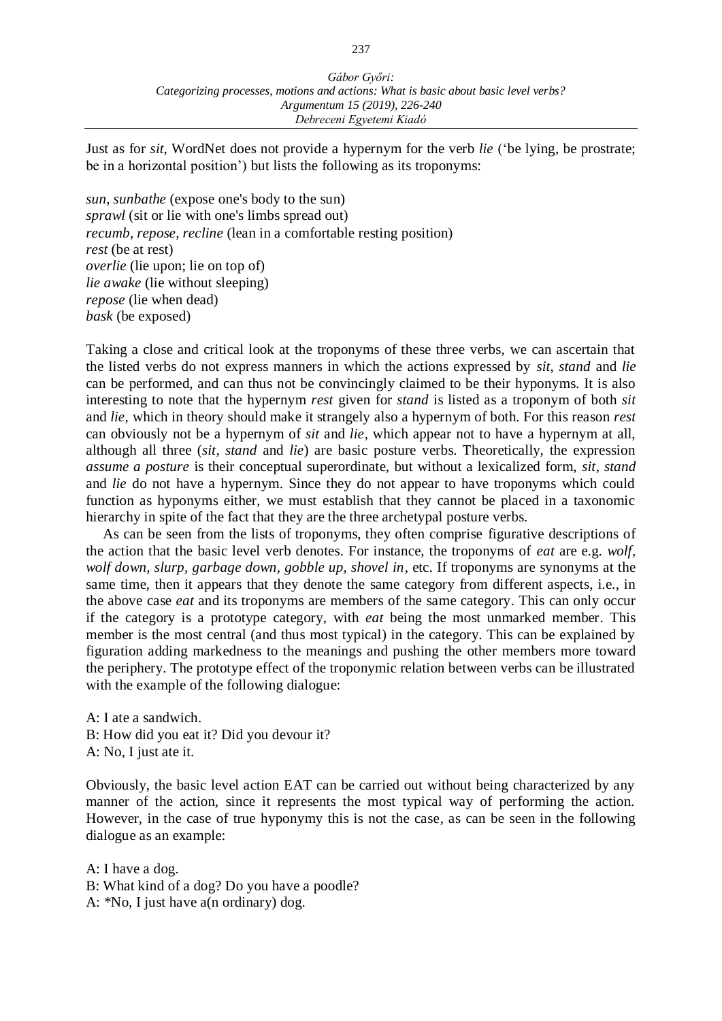Just as for *sit*, WordNet does not provide a hypernym for the verb *lie* ('be lying, be prostrate; be in a horizontal position') but lists the following as its troponyms:

*sun, sunbathe* (expose one's body to the sun) *sprawl* (sit or lie with one's limbs spread out) *recumb, repose, recline* (lean in a comfortable resting position) *rest* (be at rest) *overlie* (lie upon; lie on top of) *lie awake* (lie without sleeping) *repose* (lie when dead) *bask* (be exposed)

Taking a close and critical look at the troponyms of these three verbs, we can ascertain that the listed verbs do not express manners in which the actions expressed by *sit*, *stand* and *lie* can be performed, and can thus not be convincingly claimed to be their hyponyms. It is also interesting to note that the hypernym *rest* given for *stand* is listed as a troponym of both *sit* and *lie*, which in theory should make it strangely also a hypernym of both. For this reason *rest* can obviously not be a hypernym of *sit* and *lie*, which appear not to have a hypernym at all, although all three (*sit*, *stand* and *lie*) are basic posture verbs. Theoretically, the expression *assume a posture* is their conceptual superordinate, but without a lexicalized form, *sit*, *stand* and *lie* do not have a hypernym. Since they do not appear to have troponyms which could function as hyponyms either, we must establish that they cannot be placed in a taxonomic hierarchy in spite of the fact that they are the three archetypal posture verbs.

As can be seen from the lists of troponyms, they often comprise figurative descriptions of the action that the basic level verb denotes. For instance, the troponyms of *eat* are e.g. *wolf, wolf down, slurp, garbage down, gobble up, shovel in*, etc. If troponyms are synonyms at the same time, then it appears that they denote the same category from different aspects, i.e., in the above case *eat* and its troponyms are members of the same category. This can only occur if the category is a prototype category, with *eat* being the most unmarked member. This member is the most central (and thus most typical) in the category. This can be explained by figuration adding markedness to the meanings and pushing the other members more toward the periphery. The prototype effect of the troponymic relation between verbs can be illustrated with the example of the following dialogue:

A: I ate a sandwich. B: How did you eat it? Did you devour it? A: No, I just ate it.

Obviously, the basic level action EAT can be carried out without being characterized by any manner of the action, since it represents the most typical way of performing the action. However, in the case of true hyponymy this is not the case, as can be seen in the following dialogue as an example:

A: I have a dog.

B: What kind of a dog? Do you have a poodle?

A: \*No, I just have a(n ordinary) dog.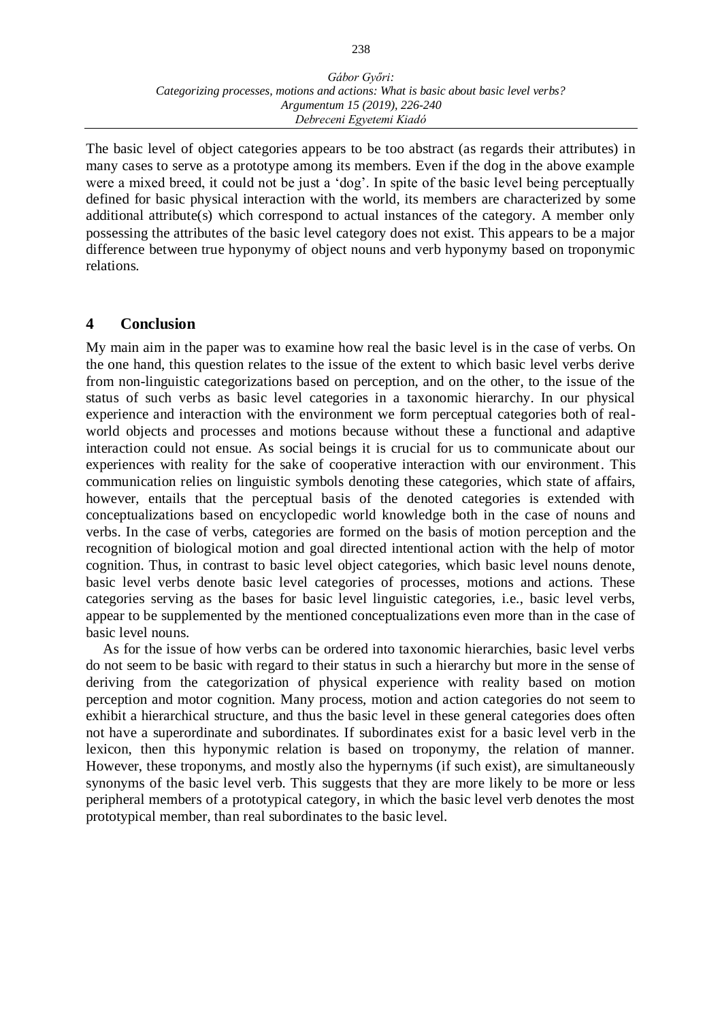The basic level of object categories appears to be too abstract (as regards their attributes) in many cases to serve as a prototype among its members. Even if the dog in the above example were a mixed breed, it could not be just a 'dog'. In spite of the basic level being perceptually defined for basic physical interaction with the world, its members are characterized by some additional attribute(s) which correspond to actual instances of the category. A member only possessing the attributes of the basic level category does not exist. This appears to be a major difference between true hyponymy of object nouns and verb hyponymy based on troponymic relations.

# **4 Conclusion**

My main aim in the paper was to examine how real the basic level is in the case of verbs. On the one hand, this question relates to the issue of the extent to which basic level verbs derive from non-linguistic categorizations based on perception, and on the other, to the issue of the status of such verbs as basic level categories in a taxonomic hierarchy. In our physical experience and interaction with the environment we form perceptual categories both of realworld objects and processes and motions because without these a functional and adaptive interaction could not ensue. As social beings it is crucial for us to communicate about our experiences with reality for the sake of cooperative interaction with our environment. This communication relies on linguistic symbols denoting these categories, which state of affairs, however, entails that the perceptual basis of the denoted categories is extended with conceptualizations based on encyclopedic world knowledge both in the case of nouns and verbs. In the case of verbs, categories are formed on the basis of motion perception and the recognition of biological motion and goal directed intentional action with the help of motor cognition. Thus, in contrast to basic level object categories, which basic level nouns denote, basic level verbs denote basic level categories of processes, motions and actions. These categories serving as the bases for basic level linguistic categories, i.e., basic level verbs, appear to be supplemented by the mentioned conceptualizations even more than in the case of basic level nouns.

As for the issue of how verbs can be ordered into taxonomic hierarchies, basic level verbs do not seem to be basic with regard to their status in such a hierarchy but more in the sense of deriving from the categorization of physical experience with reality based on motion perception and motor cognition. Many process, motion and action categories do not seem to exhibit a hierarchical structure, and thus the basic level in these general categories does often not have a superordinate and subordinates. If subordinates exist for a basic level verb in the lexicon, then this hyponymic relation is based on troponymy, the relation of manner. However, these troponyms, and mostly also the hypernyms (if such exist), are simultaneously synonyms of the basic level verb. This suggests that they are more likely to be more or less peripheral members of a prototypical category, in which the basic level verb denotes the most prototypical member, than real subordinates to the basic level.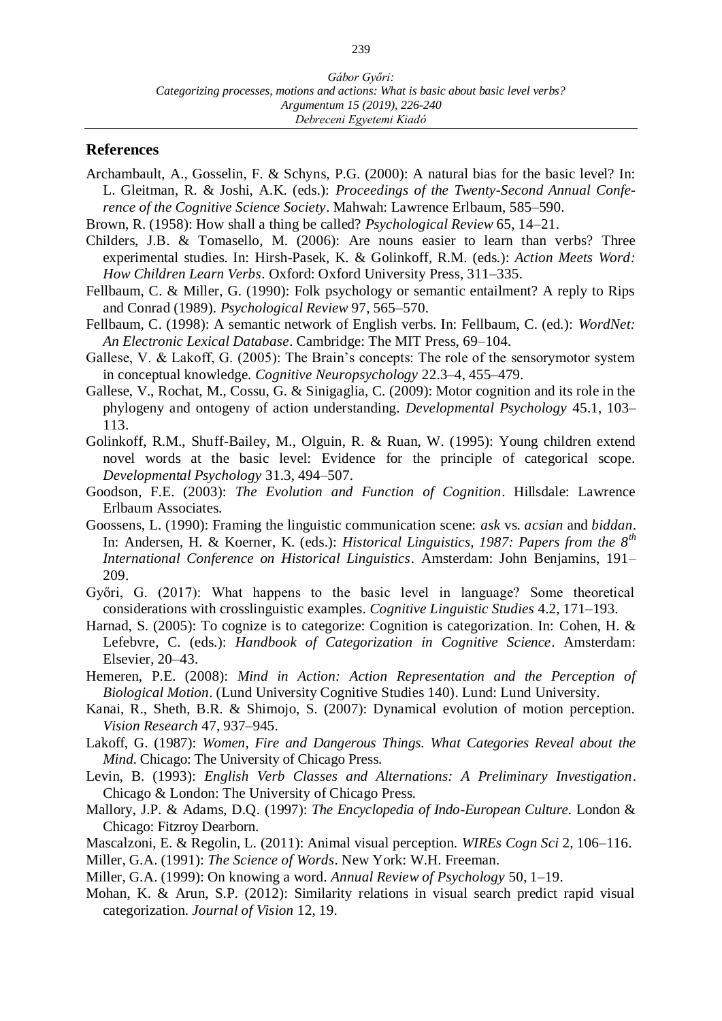### **References**

- Archambault, A., Gosselin, F. & Schyns, P.G. (2000): A natural bias for the basic level? In: L. Gleitman, R. & Joshi, A.K. (eds.): *Proceedings of the Twenty-Second Annual Conference of the Cognitive Science Society*. Mahwah: Lawrence Erlbaum, 585–590.
- Brown, R. (1958): How shall a thing be called? *Psychological Review* 65, 14–21.
- Childers, J.B. & Tomasello, M. (2006): Are nouns easier to learn than verbs? Three experimental studies. In: Hirsh-Pasek, K. & Golinkoff, R.M. (eds.): *Action Meets Word: How Children Learn Verbs*. Oxford: Oxford University Press, 311–335.
- Fellbaum, C. & Miller, G. (1990): Folk psychology or semantic entailment? A reply to Rips and Conrad (1989). *Psychological Review* 97, 565–570.
- Fellbaum, C. (1998): A semantic network of English verbs. In: Fellbaum, C. (ed.): *WordNet: An Electronic Lexical Database*. Cambridge: The MIT Press, 69–104.
- Gallese, V. & Lakoff, G. (2005): The Brain's concepts: The role of the sensorymotor system in conceptual knowledge. *Cognitive Neuropsychology* 22.3–4, 455–479.
- Gallese, V., Rochat, M., Cossu, G. & Sinigaglia, C. (2009): Motor cognition and its role in the phylogeny and ontogeny of action understanding. *Developmental Psychology* 45.1, 103– 113.
- Golinkoff, R.M., Shuff-Bailey, M., Olguin, R. & Ruan, W. (1995): Young children extend novel words at the basic level: Evidence for the principle of categorical scope. *Developmental Psychology* 31.3, 494–507.
- Goodson, F.E. (2003): *The Evolution and Function of Cognition*. Hillsdale: Lawrence Erlbaum Associates.
- Goossens, L. (1990): Framing the linguistic communication scene: *ask* vs. *acsian* and *biddan*. In: Andersen, H. & Koerner, K. (eds.): *Historical Linguistics, 1987: Papers from the 8th International Conference on Historical Linguistics*. Amsterdam: John Benjamins, 191– 209.
- Győri, G. (2017): What happens to the basic level in language? Some theoretical considerations with crosslinguistic examples. *Cognitive Linguistic Studies* 4.2, 171–193.
- Harnad, S. (2005): To cognize is to categorize: Cognition is categorization. In: Cohen, H. & Lefebvre, C. (eds.): *Handbook of Categorization in Cognitive Science*. Amsterdam: Elsevier, 20–43.
- Hemeren, P.E. (2008): *Mind in Action: Action Representation and the Perception of Biological Motion*. (Lund University Cognitive Studies 140). Lund: Lund University.
- Kanai, R., Sheth, B.R. & Shimojo, S. (2007): Dynamical evolution of motion perception. *Vision Research* 47, 937–945.
- Lakoff, G. (1987): *Women, Fire and Dangerous Things. What Categories Reveal about the Mind.* Chicago: The University of Chicago Press.
- Levin, B. (1993): *English Verb Classes and Alternations: A Preliminary Investigation*. Chicago & London: The University of Chicago Press.
- Mallory, J.P. & Adams, D.Q. (1997): *The Encyclopedia of Indo-European Culture.* London & Chicago: Fitzroy Dearborn.
- Mascalzoni, E. & Regolin, L. (2011): Animal visual perception. *WIREs Cogn Sci* 2, 106–116.
- Miller, G.A. (1991): *The Science of Words*. New York: W.H. Freeman.
- Miller, G.A. (1999): On knowing a word. *Annual Review of Psychology* 50, 1–19.
- Mohan, K. & Arun, S.P. (2012): Similarity relations in visual search predict rapid visual categorization. *Journal of Vision* 12, 19.